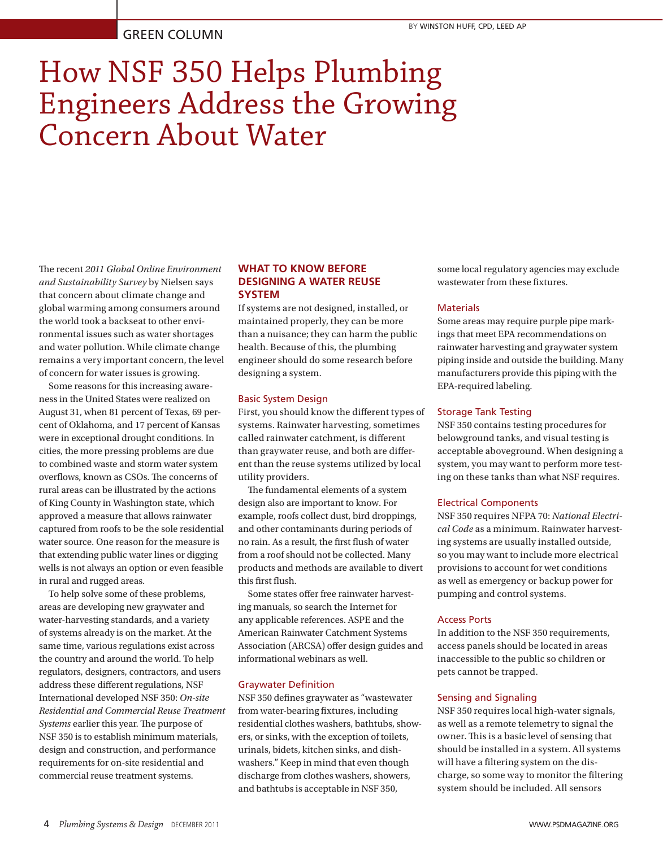# GREEN COLUMN

# How NSF 350 Helps Plumbing Engineers Address the Growing Concern About Water

The recent *2011 Global Online Environment and Sustainability Survey* by Nielsen says that concern about climate change and global warming among consumers around the world took a backseat to other environmental issues such as water shortages and water pollution. While climate change remains a very important concern, the level of concern for water issues is growing.

Some reasons for this increasing awareness in the United States were realized on August 31, when 81 percent of Texas, 69 percent of Oklahoma, and 17 percent of Kansas were in exceptional drought conditions. In cities, the more pressing problems are due to combined waste and storm water system overflows, known as CSOs. The concerns of rural areas can be illustrated by the actions of King County in Washington state, which approved a measure that allows rainwater captured from roofs to be the sole residential water source. One reason for the measure is that extending public water lines or digging wells is not always an option or even feasible in rural and rugged areas.

To help solve some of these problems, areas are developing new graywater and water-harvesting standards, and a variety of systems already is on the market. At the same time, various regulations exist across the country and around the world. To help regulators, designers, contractors, and users address these different regulations, NSF International developed NSF 350: *On-site Residential and Commercial Reuse Treatment Systems* earlier this year. The purpose of NSF 350 is to establish minimum materials, design and construction, and performance requirements for on-site residential and commercial reuse treatment systems.

### **WHAT TO KNOW BEFORE DESIGNING A WATER REUSE SYSTEM**

If systems are not designed, installed, or maintained properly, they can be more than a nuisance; they can harm the public health. Because of this, the plumbing engineer should do some research before designing a system.

#### Basic System Design

First, you should know the different types of systems. Rainwater harvesting, sometimes called rainwater catchment, is different than graywater reuse, and both are different than the reuse systems utilized by local utility providers.

The fundamental elements of a system design also are important to know. For example, roofs collect dust, bird droppings, and other contaminants during periods of no rain. As a result, the first flush of water from a roof should not be collected. Many products and methods are available to divert this first flush.

Some states offer free rainwater harvesting manuals, so search the Internet for any applicable references. ASPE and the American Rainwater Catchment Systems Association (ARCSA) offer design guides and informational webinars as well.

#### Graywater Definition

NSF 350 defines graywater as "wastewater from water-bearing fixtures, including residential clothes washers, bathtubs, showers, or sinks, with the exception of toilets, urinals, bidets, kitchen sinks, and dishwashers." Keep in mind that even though discharge from clothes washers, showers, and bathtubs is acceptable in NSF 350,

some local regulatory agencies may exclude wastewater from these fixtures.

#### **Materials**

Some areas may require purple pipe markings that meet EPA recommendations on rainwater harvesting and graywater system piping inside and outside the building. Many manufacturers provide this piping with the EPA-required labeling.

#### Storage Tank Testing

NSF 350 contains testing procedures for belowground tanks, and visual testing is acceptable aboveground. When designing a system, you may want to perform more testing on these tanks than what NSF requires.

#### Electrical Components

NSF 350 requires NFPA 70: *National Electrical Code* as a minimum. Rainwater harvesting systems are usually installed outside, so you may want to include more electrical provisions to account for wet conditions as well as emergency or backup power for pumping and control systems.

#### Access Ports

In addition to the NSF 350 requirements, access panels should be located in areas inaccessible to the public so children or pets cannot be trapped.

#### Sensing and Signaling

NSF 350 requires local high-water signals, as well as a remote telemetry to signal the owner. This is a basic level of sensing that should be installed in a system. All systems will have a filtering system on the discharge, so some way to monitor the filtering system should be included. All sensors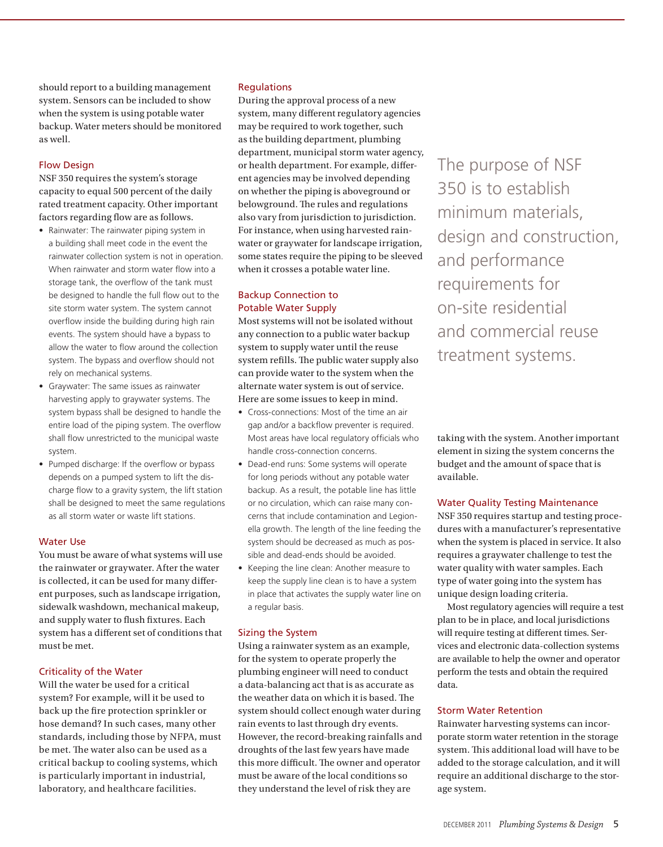should report to a building management system. Sensors can be included to show when the system is using potable water backup. Water meters should be monitored as well.

#### Flow Design

NSF 350 requires the system's storage capacity to equal 500 percent of the daily rated treatment capacity. Other important factors regarding flow are as follows.

- Rainwater: The rainwater piping system in a building shall meet code in the event the rainwater collection system is not in operation. When rainwater and storm water flow into a storage tank, the overflow of the tank must be designed to handle the full flow out to the site storm water system. The system cannot overflow inside the building during high rain events. The system should have a bypass to allow the water to flow around the collection system. The bypass and overflow should not rely on mechanical systems.
- Graywater: The same issues as rainwater harvesting apply to graywater systems. The system bypass shall be designed to handle the entire load of the piping system. The overflow shall flow unrestricted to the municipal waste system.
- Pumped discharge: If the overflow or bypass depends on a pumped system to lift the discharge flow to a gravity system, the lift station shall be designed to meet the same regulations as all storm water or waste lift stations.

#### Water Use

You must be aware of what systems will use the rainwater or graywater. After the water is collected, it can be used for many different purposes, such as landscape irrigation, sidewalk washdown, mechanical makeup, and supply water to flush fixtures. Each system has a different set of conditions that must be met.

#### Criticality of the Water

Will the water be used for a critical system? For example, will it be used to back up the fire protection sprinkler or hose demand? In such cases, many other standards, including those by NFPA, must be met. The water also can be used as a critical backup to cooling systems, which is particularly important in industrial, laboratory, and healthcare facilities.

#### **Regulations**

During the approval process of a new system, many different regulatory agencies may be required to work together, such as the building department, plumbing department, municipal storm water agency, or health department. For example, different agencies may be involved depending on whether the piping is aboveground or belowground. The rules and regulations also vary from jurisdiction to jurisdiction. For instance, when using harvested rainwater or graywater for landscape irrigation, some states require the piping to be sleeved when it crosses a potable water line.

#### Backup Connection to Potable Water Supply

Most systems will not be isolated without any connection to a public water backup system to supply water until the reuse system refills. The public water supply also can provide water to the system when the alternate water system is out of service. Here are some issues to keep in mind.

- • Cross-connections: Most of the time an air gap and/or a backflow preventer is required. Most areas have local regulatory officials who handle cross-connection concerns.
- Dead-end runs: Some systems will operate for long periods without any potable water backup. As a result, the potable line has little or no circulation, which can raise many concerns that include contamination and Legionella growth. The length of the line feeding the system should be decreased as much as possible and dead-ends should be avoided.
- • Keeping the line clean: Another measure to keep the supply line clean is to have a system in place that activates the supply water line on a regular basis.

#### Sizing the System

Using a rainwater system as an example, for the system to operate properly the plumbing engineer will need to conduct a data-balancing act that is as accurate as the weather data on which it is based. The system should collect enough water during rain events to last through dry events. However, the record-breaking rainfalls and droughts of the last few years have made this more difficult. The owner and operator must be aware of the local conditions so they understand the level of risk they are

The purpose of NSF 350 is to establish minimum materials, design and construction, and performance requirements for on-site residential and commercial reuse treatment systems.

taking with the system. Another important element in sizing the system concerns the budget and the amount of space that is available.

#### Water Quality Testing Maintenance

NSF 350 requires startup and testing procedures with a manufacturer's representative when the system is placed in service. It also requires a graywater challenge to test the water quality with water samples. Each type of water going into the system has unique design loading criteria.

Most regulatory agencies will require a test plan to be in place, and local jurisdictions will require testing at different times. Services and electronic data-collection systems are available to help the owner and operator perform the tests and obtain the required data.

#### Storm Water Retention

Rainwater harvesting systems can incorporate storm water retention in the storage system. This additional load will have to be added to the storage calculation, and it will require an additional discharge to the storage system.